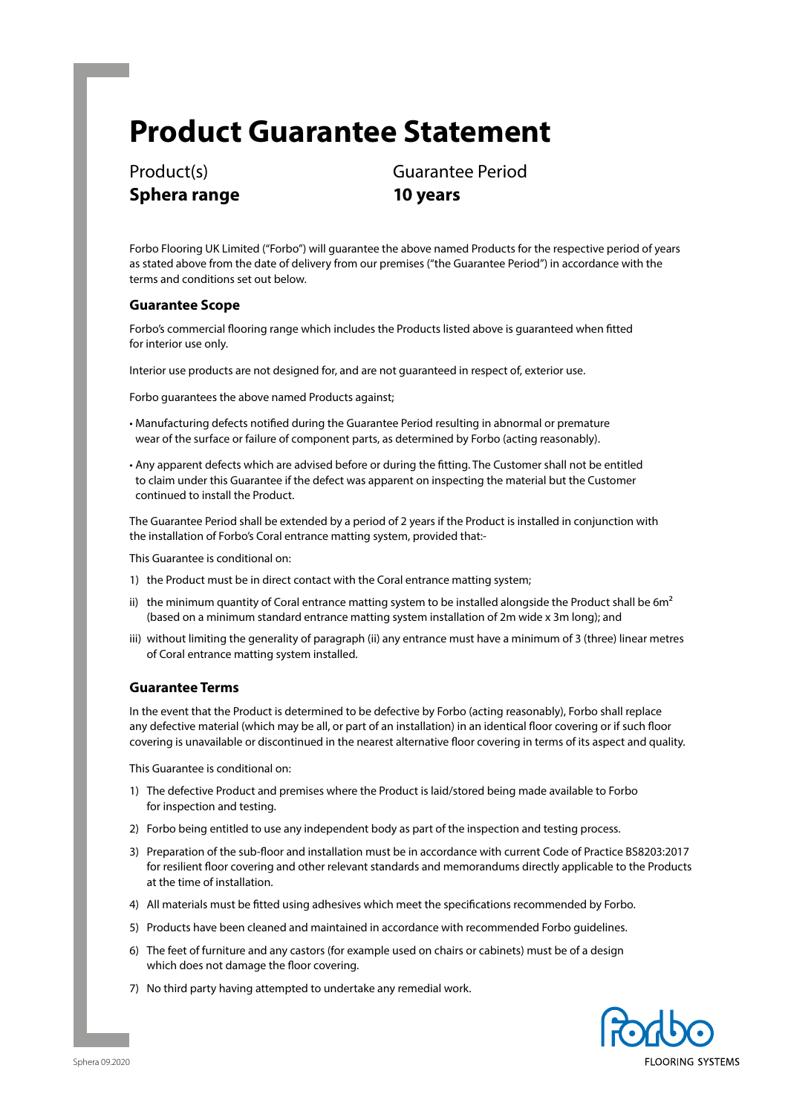# **Product Guarantee Statement**

**Sphera range 10 years**

Product(s) Guarantee Period

Forbo Flooring UK Limited ("Forbo") will guarantee the above named Products for the respective period of years as stated above from the date of delivery from our premises ("the Guarantee Period") in accordance with the terms and conditions set out below.

## **Guarantee Scope**

Forbo's commercial flooring range which includes the Products listed above is guaranteed when fitted for interior use only.

Interior use products are not designed for, and are not guaranteed in respect of, exterior use.

Forbo guarantees the above named Products against;

- Manufacturing defects notified during the Guarantee Period resulting in abnormal or premature wear of the surface or failure of component parts, as determined by Forbo (acting reasonably).
- Any apparent defects which are advised before or during the fitting. The Customer shall not be entitled to claim under this Guarantee if the defect was apparent on inspecting the material but the Customer continued to install the Product.

The Guarantee Period shall be extended by a period of 2 years if the Product is installed in conjunction with the installation of Forbo's Coral entrance matting system, provided that:-

This Guarantee is conditional on:

- 1) the Product must be in direct contact with the Coral entrance matting system;
- ii) the minimum quantity of Coral entrance matting system to be installed alongside the Product shall be  $6m<sup>2</sup>$ (based on a minimum standard entrance matting system installation of 2m wide x 3m long); and
- iii) without limiting the generality of paragraph (ii) any entrance must have a minimum of 3 (three) linear metres of Coral entrance matting system installed.

## **Guarantee Terms**

In the event that the Product is determined to be defective by Forbo (acting reasonably), Forbo shall replace any defective material (which may be all, or part of an installation) in an identical floor covering or if such floor covering is unavailable or discontinued in the nearest alternative floor covering in terms of its aspect and quality.

This Guarantee is conditional on:

- 1) The defective Product and premises where the Product is laid/stored being made available to Forbo for inspection and testing.
- 2) Forbo being entitled to use any independent body as part of the inspection and testing process.
- 3) Preparation of the sub-floor and installation must be in accordance with current Code of Practice BS8203:2017 for resilient floor covering and other relevant standards and memorandums directly applicable to the Products at the time of installation.
- 4) All materials must be fitted using adhesives which meet the specifications recommended by Forbo.
- 5) Products have been cleaned and maintained in accordance with recommended Forbo guidelines.
- 6) The feet of furniture and any castors (for example used on chairs or cabinets) must be of a design which does not damage the floor covering.
- 7) No third party having attempted to undertake any remedial work.